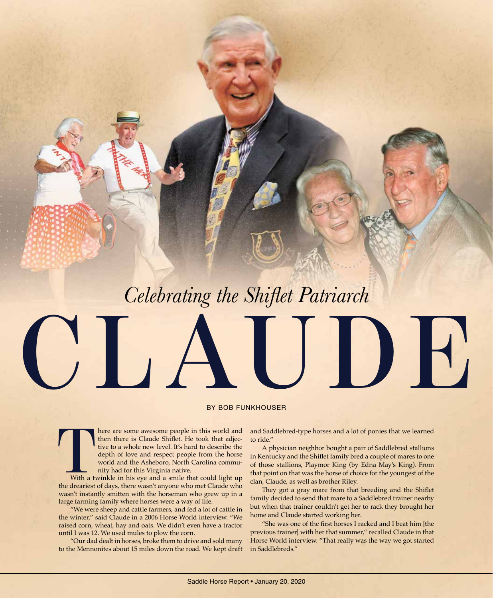# **CLAUDE** *Celebrating the Shiflet Patriarch*

#### BY BOB FUNKHOUSER

There are some awesome people in this world and then there is Claude Shiflet. He took that adjective to a whole new level. It's hard to describe the depth of love and respect people from the horse world and the Asheboro, N then there is Claude Shiflet. He took that adjective to a whole new level. It's hard to describe the depth of love and respect people from the horse world and the Asheboro, North Carolina community had for this Virginia native.

With a twinkle in his eye and a smile that could light up the dreariest of days, there wasn't anyone who met Claude who wasn't instantly smitten with the horseman who grew up in a large farming family where horses were a way of life.

 "We were sheep and cattle farmers, and fed a lot of cattle in the winter," said Claude in a 2006 Horse World interview. "We raised corn, wheat, hay and oats. We didn't even have a tractor until I was 12. We used mules to plow the corn.

 "Our dad dealt in horses, broke them to drive and sold many to the Mennonites about 15 miles down the road. We kept draft and Saddlebred-type horses and a lot of ponies that we learned to ride."

 A physician neighbor bought a pair of Saddlebred stallions in Kentucky and the Shiflet family bred a couple of mares to one of those stallions, Playmor King (by Edna May's King). From that point on that was the horse of choice for the youngest of the clan, Claude, as well as brother Riley.

They got a gray mare from that breeding and the Shiflet family decided to send that mare to a Saddlebred trainer nearby but when that trainer couldn't get her to rack they brought her home and Claude started working her.

"She was one of the first horses I racked and I beat him [the previous trainer] with her that summer," recalled Claude in that Horse World interview. "That really was the way we got started in Saddlebreds."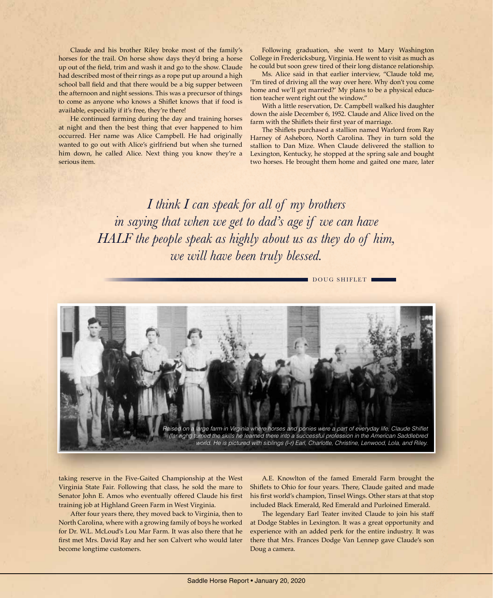Claude and his brother Riley broke most of the family's horses for the trail. On horse show days they'd bring a horse up out of the field, trim and wash it and go to the show. Claude had described most of their rings as a rope put up around a high school ball field and that there would be a big supper between the afternoon and night sessions. This was a precursor of things to come as anyone who knows a Shiflet knows that if food is available, especially if it's free, they're there!

 He continued farming during the day and training horses at night and then the best thing that ever happened to him occurred. Her name was Alice Campbell. He had originally wanted to go out with Alice's girlfriend but when she turned him down, he called Alice. Next thing you know they're a serious item.

 Following graduation, she went to Mary Washington College in Fredericksburg, Virginia. He went to visit as much as he could but soon grew tired of their long distance relationship.

 Ms. Alice said in that earlier interview, "Claude told me, 'I'm tired of driving all the way over here. Why don't you come home and we'll get married?' My plans to be a physical education teacher went right out the window."

 With a little reservation, Dr. Campbell walked his daughter down the aisle December 6, 1952. Claude and Alice lived on the farm with the Shiflets their first year of marriage.

The Shiflets purchased a stallion named Warlord from Ray Harney of Asheboro, North Carolina. They in turn sold the stallion to Dan Mize. When Claude delivered the stallion to Lexington, Kentucky, he stopped at the spring sale and bought two horses. He brought them home and gaited one mare, later

*I think I can speak for all of my brothers in saying that when we get to dad's age if we can have HALF the people speak as highly about us as they do of him, we will have been truly blessed.*

DOUG SHIFLET



taking reserve in the Five-Gaited Championship at the West Virginia State Fair. Following that class, he sold the mare to Senator John E. Amos who eventually offered Claude his first training job at Highland Green Farm in West Virginia.

 After four years there, they moved back to Virginia, then to North Carolina, where with a growing family of boys he worked for Dr. W.L. McLoud's Lou Mar Farm. It was also there that he first met Mrs. David Ray and her son Calvert who would later become longtime customers.

 A.E. Knowlton of the famed Emerald Farm brought the Shiflets to Ohio for four years. There, Claude gaited and made his first world's champion, Tinsel Wings. Other stars at that stop included Black Emerald, Red Emerald and Purloined Emerald.

 The legendary Earl Teater invited Claude to join his staff at Dodge Stables in Lexington. It was a great opportunity and experience with an added perk for the entire industry. It was there that Mrs. Frances Dodge Van Lennep gave Claude's son Doug a camera.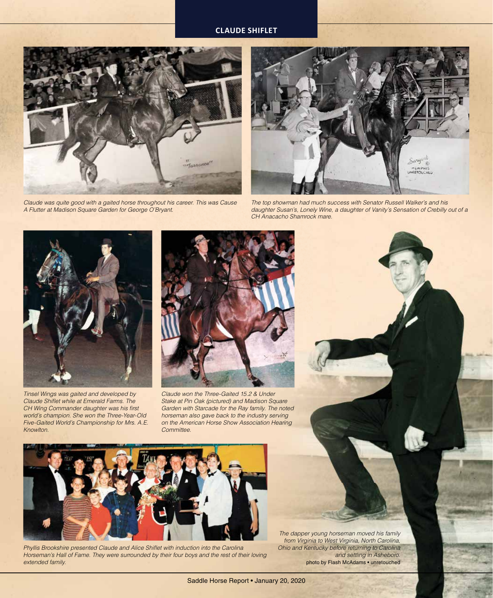

*Claude was quite good with a gaited horse throughout his career. This was Cause A Flutter at Madison Square Garden for George O'Bryant.*



*The top showman had much success with Senator Russell Walker's and his daughter Susan's, Lonely Wine, a daughter of Vanity's Sensation of Crebilly out of a CH Anacacho Shamrock mare.*



*Tinsel Wings was gaited and developed by*  **Claude Shiflet while at Emerald Farms. The** *CH Wing Commander daughter was his first world's champion. She won the Three-Year-Old Five-Gaited World's Championship for Mrs. A.E. Knowlton.*



*Claude won the Three-Gaited 15.2 & Under Stake at Pin Oak (pictured) and Madison Square Garden with Starcade for the Ray family. The noted horseman also gave back to the industry serving on the American Horse Show Association Hearing Committee.*



Phyllis Brookshire presented Claude and Alice Shiflet with induction into the Carolina *Horseman's Hall of Fame. They were surrounded by their four boys and the rest of their loving extended family.*

*The dapper young horseman moved his family from Virginia to West Virginia, North Carolina, Ohio and Kentucky before returning to Carolina and settling in Asheboro.* photo by Flash McAdams • unretouched

Saddle Horse Report • January 20, 2020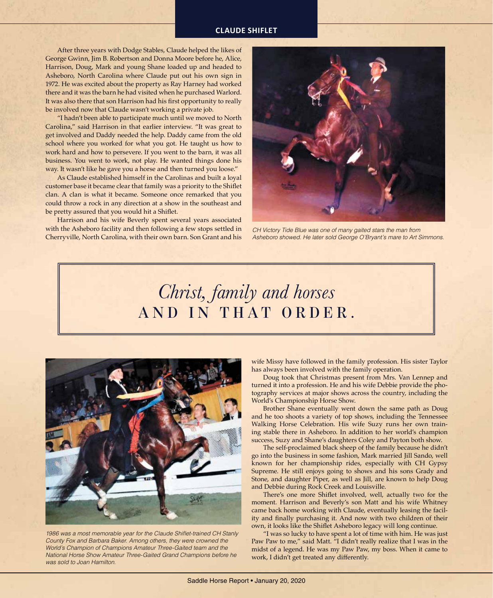After three years with Dodge Stables, Claude helped the likes of George Gwinn, Jim B. Robertson and Donna Moore before he, Alice, Harrison, Doug, Mark and young Shane loaded up and headed to Asheboro, North Carolina where Claude put out his own sign in 1972. He was excited about the property as Ray Harney had worked there and it was the barn he had visited when he purchased Warlord. It was also there that son Harrison had his first opportunity to really be involved now that Claude wasn't working a private job.

 "I hadn't been able to participate much until we moved to North Carolina," said Harrison in that earlier interview. "It was great to get involved and Daddy needed the help. Daddy came from the old school where you worked for what you got. He taught us how to work hard and how to persevere. If you went to the barn, it was all business. You went to work, not play. He wanted things done his way. It wasn't like he gave you a horse and then turned you loose."

 As Claude established himself in the Carolinas and built a loyal customer base it became clear that family was a priority to the Shiflet clan. A clan is what it became. Someone once remarked that you could throw a rock in any direction at a show in the southeast and be pretty assured that you would hit a Shiflet.

 Harrison and his wife Beverly spent several years associated with the Asheboro facility and then following a few stops settled in Cherryville, North Carolina, with their own barn. Son Grant and his



*CH Victory Tide Blue was one of many gaited stars the man from Asheboro showed. He later sold George O'Bryant's mare to Art Simmons.*

## *Christ, family and horses* **AND IN THAT ORDER.**



1986 was a most memorable year for the Claude Shiflet-trained CH Stanly *County Fox and Barbara Baker. Among others, they were crowned the World's Champion of Champions Amateur Three-Gaited team and the National Horse Show Amateur Three-Gaited Grand Champions before he was sold to Joan Hamilton.*

wife Missy have followed in the family profession. His sister Taylor has always been involved with the family operation.

 Doug took that Christmas present from Mrs. Van Lennep and turned it into a profession. He and his wife Debbie provide the photography services at major shows across the country, including the World's Championship Horse Show.

 Brother Shane eventually went down the same path as Doug and he too shoots a variety of top shows, including the Tennessee Walking Horse Celebration. His wife Suzy runs her own training stable there in Asheboro. In addition to her world's champion success, Suzy and Shane's daughters Coley and Payton both show.

 The self-proclaimed black sheep of the family because he didn't go into the business in some fashion, Mark married Jill Sando, well known for her championship rides, especially with CH Gypsy Supreme. He still enjoys going to shows and his sons Grady and Stone, and daughter Piper, as well as Jill, are known to help Doug and Debbie during Rock Creek and Louisville.

There's one more Shiflet involved, well, actually two for the moment. Harrison and Beverly's son Matt and his wife Whitney came back home working with Claude, eventually leasing the facility and finally purchasing it. And now with two children of their own, it looks like the Shiflet Asheboro legacy will long continue.

 "I was so lucky to have spent a lot of time with him. He was just Paw Paw to me," said Matt. "I didn't really realize that I was in the midst of a legend. He was my Paw Paw, my boss. When it came to work, I didn't get treated any differently.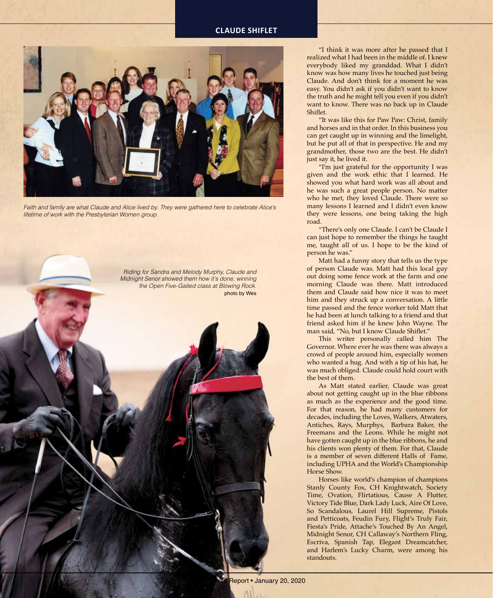

*Faith and family are what Claude and Alice lived by. They were gathered here to celebrate Alice's lifetime of work with the Presbyterian Women group.*



 "I think it was more after he passed that I realized what I had been in the middle of. I knew everybody liked my granddad. What I didn't know was how many lives he touched just being Claude. And don't think for a moment he was easy. You didn't ask if you didn't want to know the truth and he might tell you even if you didn't want to know. There was no back up in Claude Shiflet.

 "It was like this for Paw Paw: Christ, family and horses and in that order. In this business you can get caught up in winning and the limelight, but he put all of that in perspective. He and my grandmother, those two are the best. He didn't just say it, he lived it.

 "I'm just grateful for the opportunity I was given and the work ethic that I learned. He showed you what hard work was all about and he was such a great people person. No matter who he met, they loved Claude. There were so many lessons I learned and I didn't even know they were lessons, one being taking the high road.

 "There's only one Claude. I can't be Claude I can just hope to remember the things he taught me, taught all of us. I hope to be the kind of person he was."

 Matt had a funny story that tells us the type of person Claude was. Matt had this local guy out doing some fence work at the farm and one morning Claude was there. Matt introduced them and Claude said how nice it was to meet him and they struck up a conversation. A little time passed and the fence worker told Matt that he had been at lunch talking to a friend and that friend asked him if he knew John Wayne. The man said, "No, but I know Claude Shiflet."

 This writer personally called him The Governor. Where ever he was there was always a crowd of people around him, especially women who wanted a hug. And with a tip of his hat, he was much obliged. Claude could hold court with the best of them.

 As Matt stated earlier, Claude was great about not getting caught up in the blue ribbons as much as the experience and the good time. For that reason, he had many customers for decades, including the Loves, Walkers, Atwaters, Antiches, Rays, Murphys, Barbara Baker, the Freemans and the Leons. While he might not have gotten caught up in the blue ribbons, he and his clients won plenty of them. For that, Claude is a member of seven different Halls of Fame, including UPHA and the World's Championship Horse Show.

 Horses like world's champion of champions Stanly County Fox, CH Knightwatch, Society Time, Ovation, Flirtatious, Cause A Flutter, Victory Tide Blue, Dark Lady Luck, Aire Of Love, So Scandalous, Laurel Hill Supreme, Pistols and Petticoats, Feudin Fury, Flight's Truly Fair, Fiesta's Pride, Attache's Touched By An Angel, Midnight Senor, CH Callaway's Northern Fling, Escriva, Spanish Tap, Elegant Dreamcatcher, and Harlem's Lucky Charm, were among his standouts.